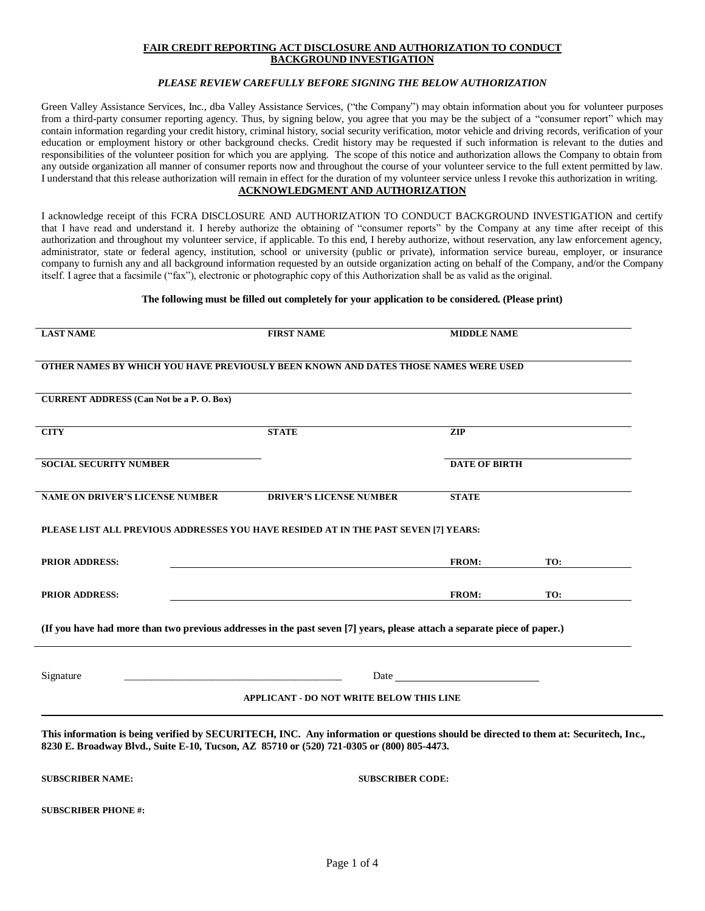### **FAIR CREDIT REPORTING ACT DISCLOSURE AND AUTHORIZATION TO CONDUCT BACKGROUND INVESTIGATION**

### *PLEASE REVIEW CAREFULLY BEFORE SIGNING THE BELOW AUTHORIZATION*

Green Valley Assistance Services, Inc., dba Valley Assistance Services, ("the Company") may obtain information about you for volunteer purposes from a third-party consumer reporting agency. Thus, by signing below, you agree that you may be the subject of a "consumer report" which may contain information regarding your credit history, criminal history, social security verification, motor vehicle and driving records, verification of your education or employment history or other background checks. Credit history may be requested if such information is relevant to the duties and responsibilities of the volunteer position for which you are applying. The scope of this notice and authorization allows the Company to obtain from any outside organization all manner of consumer reports now and throughout the course of your volunteer service to the full extent permitted by law. I understand that this release authorization will remain in effect for the duration of my volunteer service unless I revoke this authorization in writing. **ACKNOWLEDGMENT AND AUTHORIZATION**

I acknowledge receipt of this FCRA DISCLOSURE AND AUTHORIZATION TO CONDUCT BACKGROUND INVESTIGATION and certify that I have read and understand it. I hereby authorize the obtaining of "consumer reports" by the Company at any time after receipt of this authorization and throughout my volunteer service, if applicable. To this end, I hereby authorize, without reservation, any law enforcement agency, administrator, state or federal agency, institution, school or university (public or private), information service bureau, employer, or insurance company to furnish any and all background information requested by an outside organization acting on behalf of the Company, and/or the Company itself. I agree that a facsimile ("fax"), electronic or photographic copy of this Authorization shall be as valid as the original.

#### **The following must be filled out completely for your application to be considered. (Please print)**

| <b>LAST NAME</b>                                                                                                                                                                                                                  | <b>FIRST NAME</b>                                                                   | <b>MIDDLE NAME</b>                                                                                                                                                                                                             |                      |  |  |
|-----------------------------------------------------------------------------------------------------------------------------------------------------------------------------------------------------------------------------------|-------------------------------------------------------------------------------------|--------------------------------------------------------------------------------------------------------------------------------------------------------------------------------------------------------------------------------|----------------------|--|--|
|                                                                                                                                                                                                                                   | OTHER NAMES BY WHICH YOU HAVE PREVIOUSLY BEEN KNOWN AND DATES THOSE NAMES WERE USED |                                                                                                                                                                                                                                |                      |  |  |
| <b>CURRENT ADDRESS (Can Not be a P. O. Box)</b>                                                                                                                                                                                   |                                                                                     |                                                                                                                                                                                                                                |                      |  |  |
| <b>CITY</b>                                                                                                                                                                                                                       | <b>STATE</b>                                                                        | <b>ZIP</b>                                                                                                                                                                                                                     |                      |  |  |
| <b>SOCIAL SECURITY NUMBER</b>                                                                                                                                                                                                     |                                                                                     |                                                                                                                                                                                                                                | <b>DATE OF BIRTH</b> |  |  |
| <b>NAME ON DRIVER'S LICENSE NUMBER</b>                                                                                                                                                                                            | <b>DRIVER'S LICENSE NUMBER</b>                                                      | <b>STATE</b>                                                                                                                                                                                                                   |                      |  |  |
| PLEASE LIST ALL PREVIOUS ADDRESSES YOU HAVE RESIDED AT IN THE PAST SEVEN [7] YEARS:                                                                                                                                               |                                                                                     |                                                                                                                                                                                                                                |                      |  |  |
| <b>PRIOR ADDRESS:</b>                                                                                                                                                                                                             |                                                                                     | FROM:                                                                                                                                                                                                                          | TO:                  |  |  |
| <b>PRIOR ADDRESS:</b>                                                                                                                                                                                                             |                                                                                     | <b>FROM:</b>                                                                                                                                                                                                                   | TO:                  |  |  |
| (If you have had more than two previous addresses in the past seven [7] years, please attach a separate piece of paper.)                                                                                                          |                                                                                     |                                                                                                                                                                                                                                |                      |  |  |
| Signature                                                                                                                                                                                                                         |                                                                                     | Date has a series of the series of the series of the series of the series of the series of the series of the series of the series of the series of the series of the series of the series of the series of the series of the s |                      |  |  |
| <b>APPLICANT - DO NOT WRITE BELOW THIS LINE</b>                                                                                                                                                                                   |                                                                                     |                                                                                                                                                                                                                                |                      |  |  |
| This information is being verified by SECURITECH, INC. Any information or questions should be directed to them at: Securitech, Inc.,<br>8230 E. Broadway Blvd., Suite E-10, Tucson, AZ 85710 or (520) 721-0305 or (800) 805-4473. |                                                                                     |                                                                                                                                                                                                                                |                      |  |  |
| <b>SUBSCRIBER NAME:</b>                                                                                                                                                                                                           |                                                                                     | <b>SUBSCRIBER CODE:</b>                                                                                                                                                                                                        |                      |  |  |
| <b>SUBSCRIBER PHONE#:</b>                                                                                                                                                                                                         |                                                                                     |                                                                                                                                                                                                                                |                      |  |  |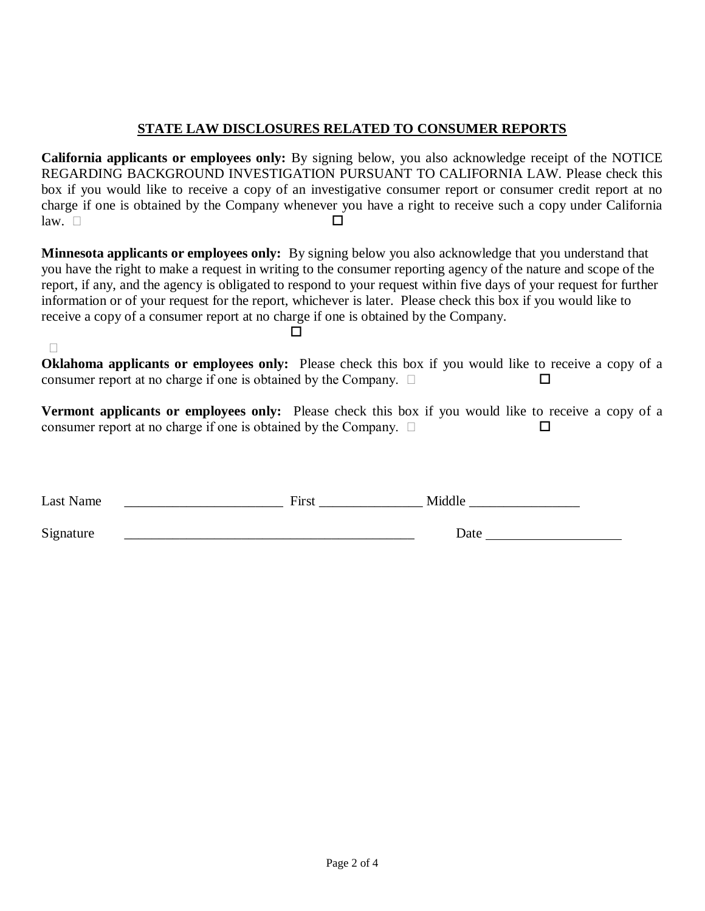# **STATE LAW DISCLOSURES RELATED TO CONSUMER REPORTS**

**California applicants or employees only:** By signing below, you also acknowledge receipt of the NOTICE REGARDING BACKGROUND INVESTIGATION PURSUANT TO CALIFORNIA LAW. Please check this box if you would like to receive a copy of an investigative consumer report or consumer credit report at no charge if one is obtained by the Company whenever you have a right to receive such a copy under California  $\Box$ 

**Minnesota applicants or employees only:** By signing below you also acknowledge that you understand that you have the right to make a request in writing to the consumer reporting agency of the nature and scope of the report, if any, and the agency is obligated to respond to your request within five days of your request for further information or of your request for the report, whichever is later. Please check this box if you would like to receive a copy of a consumer report at no charge if one is obtained by the Company.

 $\Box$ 

**Oklahoma applicants or employees only:** Please check this box if you would like to receive a copy of a consumer report at no charge if one is obtained by the Company.

**Vermont applicants or employees only:** Please check this box if you would like to receive a copy of a consumer report at no charge if one is obtained by the Company.  $\Box$ 

| Last Name | First | Middle |
|-----------|-------|--------|
| Signature |       | Date   |

П